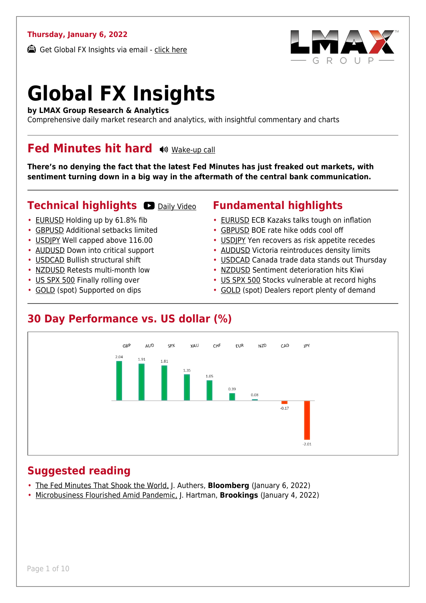#### **Thursday, January 6, 2022**

Get Global FX Insights via email - [click here](https://www.lmax.com/blog/global-fx-insights/sign-up/?src=gfxipdf)



# **Global FX Insights**

**by LMAX Group Research & Analytics**

Comprehensive daily market research and analytics, with insightful commentary and charts

#### **Fed Minutes hit hard (W)** [Wake-up call](https://www.lmax.com/blog/global-fx-insights/2022/01/06/fed-minutes-hit-hard/?utm_source=GlobalFXInsights-Newsletter&utm_medium=Email&utm_campaign=GlobalFXInsights&audio=play#wakeup-52234)

**There's no denying the fact that the latest Fed Minutes has just freaked out markets, with sentiment turning down in a big way in the aftermath of the central bank communication.**

#### **Technical highlights O [Daily Video](https://www.lmax.com/blog/global-fx-insights/2022/01/06/fed-minutes-hit-hard/?utm_source=GlobalFXInsights-Newsletter&utm_medium=Email&utm_campaign=GlobalFXInsights&popup=watch#charttalk-52234)**

- [EURUSD](#page-1-0) Holding up by 61.8% fib
- [GBPUSD](#page-2-0) Additional setbacks limited
- [USDJPY](#page-3-0) Well capped above 116.00
- [AUDUSD](#page-4-0) Down into critical support
- [USDCAD](#page-5-0) Bullish structural shift
- [NZDUSD](#page-6-0) Retests multi-month low
- [US SPX 500](#page-7-0) Finally rolling over
- [GOLD](#page-8-0) (spot) Supported on dips

#### **Fundamental highlights**

- [EURUSD](#page-1-1) ECB Kazaks talks tough on inflation
- [GBPUSD](#page-2-1) BOE rate hike odds cool off
- [USDJPY](#page-3-1) Yen recovers as risk appetite recedes
- [AUDUSD](#page-4-1) Victoria reintroduces density limits
- [USDCAD](#page-5-1) Canada trade data stands out Thursday
- [NZDUSD](#page-6-1) Sentiment deterioration hits Kiwi
- [US SPX 500](#page-7-1) Stocks vulnerable at record highs
- [GOLD](#page-8-1) (spot) Dealers report plenty of demand

#### **30 Day Performance vs. US dollar (%)**



#### **Suggested reading**

- [The Fed Minutes That Shook the World,](https://www.lmax.com/blog/global-fx-insights/2022/01/06/fed-minutes-hit-hard/?read=https://www.bloomberg.com/opinion/articles/2022-01-06/the-fed-s-minutes-shook-markets-but-reining-in-exuberance-isn-t-all-bad?srnd=opinion) J. Authers, **Bloomberg** (January 6, 2022)
- [Microbusiness Flourished Amid Pandemic,](https://www.lmax.com/blog/global-fx-insights/2022/01/06/fed-minutes-hit-hard/?read=https://www.brookings.edu/blog/the-avenue/2022/01/04/microbusinesses-flourished-during-the-pandemic-now-we-must-tap-into-their-full-potential/) J. Hartman, **Brookings** (January 4, 2022)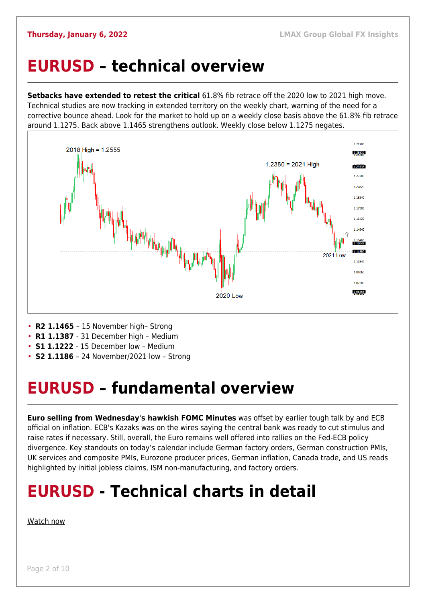### <span id="page-1-0"></span>**EURUSD – technical overview**

**Setbacks have extended to retest the critical** 61.8% fib retrace off the 2020 low to 2021 high move. Technical studies are now tracking in extended territory on the weekly chart, warning of the need for a corrective bounce ahead. Look for the market to hold up on a weekly close basis above the 61.8% fib retrace around 1.1275. Back above 1.1465 strengthens outlook. Weekly close below 1.1275 negates.



- **R2 1.1465**  15 November high– Strong
- **R1 1.1387**  31 December high Medium
- **S1 1.1222**  15 December low Medium
- **S2 1.1186**  24 November/2021 low Strong

## <span id="page-1-1"></span>**EURUSD – fundamental overview**

**Euro selling from Wednesday's hawkish FOMC Minutes** was offset by earlier tough talk by and ECB official on inflation. ECB's Kazaks was on the wires saying the central bank was ready to cut stimulus and raise rates if necessary. Still, overall, the Euro remains well offered into rallies on the Fed-ECB policy divergence. Key standouts on today's calendar include German factory orders, German construction PMIs, UK services and composite PMIs, Eurozone producer prices, German inflation, Canada trade, and US reads highlighted by initial jobless claims, ISM non-manufacturing, and factory orders.

## **EURUSD - Technical charts in detail**

#### [Watch now](https://youtu.be/P29foKX1IDw)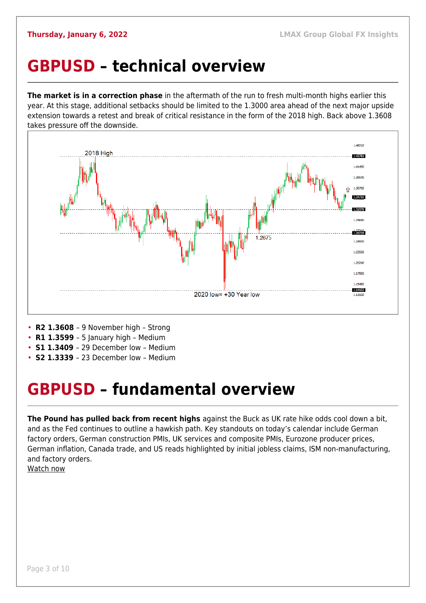### <span id="page-2-0"></span>**GBPUSD – technical overview**

**The market is in a correction phase** in the aftermath of the run to fresh multi-month highs earlier this year. At this stage, additional setbacks should be limited to the 1.3000 area ahead of the next major upside extension towards a retest and break of critical resistance in the form of the 2018 high. Back above 1.3608 takes pressure off the downside.



- **R2 1.3608**  9 November high Strong
- **R1 1.3599**  5 January high Medium
- **S1 1.3409**  29 December low Medium
- **S2 1.3339**  23 December low Medium

### <span id="page-2-1"></span>**GBPUSD – fundamental overview**

**The Pound has pulled back from recent highs** against the Buck as UK rate hike odds cool down a bit, and as the Fed continues to outline a hawkish path. Key standouts on today's calendar include German factory orders, German construction PMIs, UK services and composite PMIs, Eurozone producer prices, German inflation, Canada trade, and US reads highlighted by initial jobless claims, ISM non-manufacturing, and factory orders.

[Watch now](https://youtu.be/us4VlHNnfwY)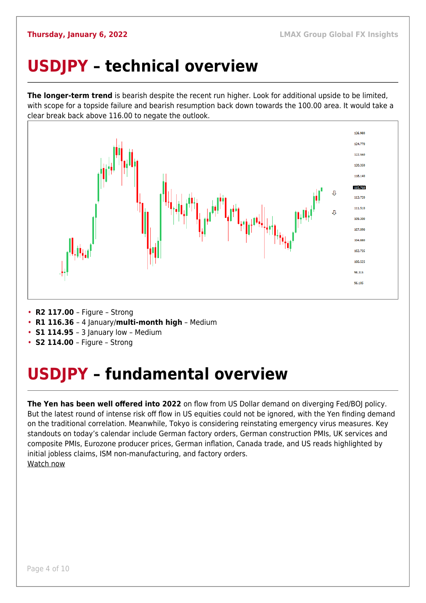## <span id="page-3-0"></span>**USDJPY – technical overview**

**The longer-term trend** is bearish despite the recent run higher. Look for additional upside to be limited, with scope for a topside failure and bearish resumption back down towards the 100.00 area. It would take a clear break back above 116.00 to negate the outlook.



- **R2 117.00**  Figure Strong
- **R1 116.36**  4 January/**multi-month high** Medium
- **S1 114.95**  3 January low Medium
- **S2 114.00**  Figure Strong

## <span id="page-3-1"></span>**USDJPY – fundamental overview**

**The Yen has been well offered into 2022** on flow from US Dollar demand on diverging Fed/BOJ policy. But the latest round of intense risk off flow in US equities could not be ignored, with the Yen finding demand on the traditional correlation. Meanwhile, Tokyo is considering reinstating emergency virus measures. Key standouts on today's calendar include German factory orders, German construction PMIs, UK services and composite PMIs, Eurozone producer prices, German inflation, Canada trade, and US reads highlighted by initial jobless claims, ISM non-manufacturing, and factory orders. [Watch now](https://youtu.be/mXHJx51NYz4)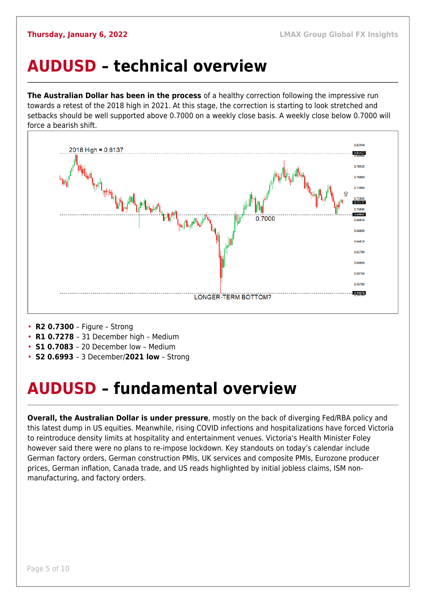### <span id="page-4-0"></span>**AUDUSD – technical overview**

**The Australian Dollar has been in the process** of a healthy correction following the impressive run towards a retest of the 2018 high in 2021. At this stage, the correction is starting to look stretched and setbacks should be well supported above 0.7000 on a weekly close basis. A weekly close below 0.7000 will force a bearish shift.



- **R2 0.7300**  Figure Strong
- **R1 0.7278**  31 December high Medium
- **S1 0.7083**  20 December low Medium
- **S2 0.6993**  3 December/**2021 low** Strong

### <span id="page-4-1"></span>**AUDUSD – fundamental overview**

**Overall, the Australian Dollar is under pressure**, mostly on the back of diverging Fed/RBA policy and this latest dump in US equities. Meanwhile, rising COVID infections and hospitalizations have forced Victoria to reintroduce density limits at hospitality and entertainment venues. Victoria's Health Minister Foley however said there were no plans to re-impose lockdown. Key standouts on today's calendar include German factory orders, German construction PMIs, UK services and composite PMIs, Eurozone producer prices, German inflation, Canada trade, and US reads highlighted by initial jobless claims, ISM nonmanufacturing, and factory orders.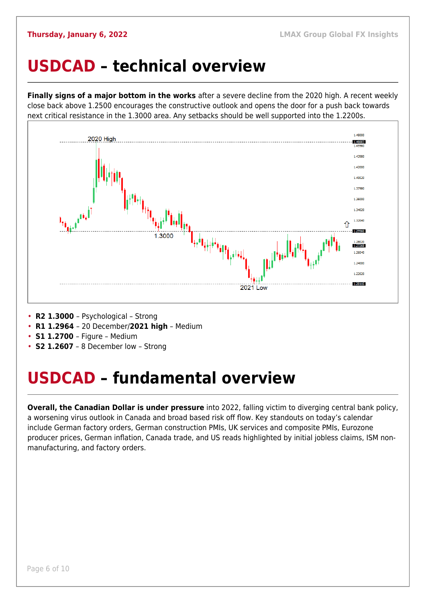#### <span id="page-5-0"></span>**USDCAD – technical overview**

**Finally signs of a major bottom in the works** after a severe decline from the 2020 high. A recent weekly close back above 1.2500 encourages the constructive outlook and opens the door for a push back towards next critical resistance in the 1.3000 area. Any setbacks should be well supported into the 1.2200s.



- **R2 1.3000**  Psychological Strong
- **R1 1.2964**  20 December/**2021 high** Medium
- **S1 1.2700**  Figure Medium
- **S2 1.2607** 8 December low Strong

### <span id="page-5-1"></span>**USDCAD – fundamental overview**

**Overall, the Canadian Dollar is under pressure** into 2022, falling victim to diverging central bank policy, a worsening virus outlook in Canada and broad based risk off flow. Key standouts on today's calendar include German factory orders, German construction PMIs, UK services and composite PMIs, Eurozone producer prices, German inflation, Canada trade, and US reads highlighted by initial jobless claims, ISM nonmanufacturing, and factory orders.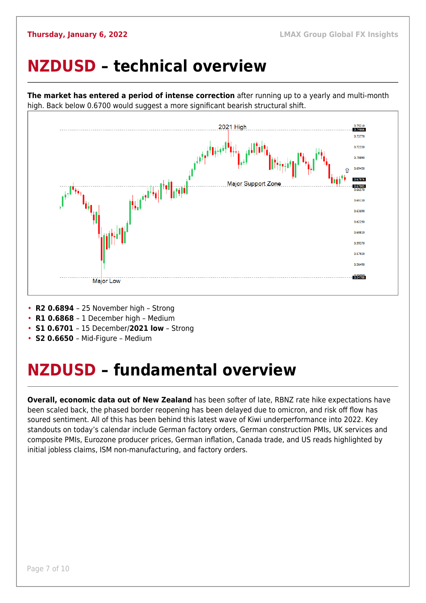### <span id="page-6-0"></span>**NZDUSD – technical overview**



**The market has entered a period of intense correction** after running up to a yearly and multi-month high. Back below 0.6700 would suggest a more significant bearish structural shift.

- **R2 0.6894**  25 November high Strong
- **R1 0.6868**  1 December high Medium
- **S1 0.6701**  15 December/**2021 low** Strong
- **S2 0.6650**  Mid-Figure Medium

### <span id="page-6-1"></span>**NZDUSD – fundamental overview**

**Overall, economic data out of New Zealand** has been softer of late, RBNZ rate hike expectations have been scaled back, the phased border reopening has been delayed due to omicron, and risk off flow has soured sentiment. All of this has been behind this latest wave of Kiwi underperformance into 2022. Key standouts on today's calendar include German factory orders, German construction PMIs, UK services and composite PMIs, Eurozone producer prices, German inflation, Canada trade, and US reads highlighted by initial jobless claims, ISM non-manufacturing, and factory orders.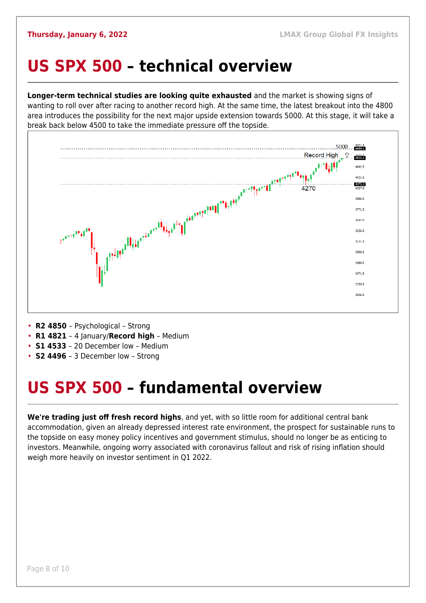#### <span id="page-7-0"></span>**US SPX 500 – technical overview**

**Longer-term technical studies are looking quite exhausted** and the market is showing signs of wanting to roll over after racing to another record high. At the same time, the latest breakout into the 4800 area introduces the possibility for the next major upside extension towards 5000. At this stage, it will take a break back below 4500 to take the immediate pressure off the topside.



- **R2 4850**  Psychological Strong
- **R1 4821**  4 January/**Record high** Medium
- **S1 4533**  20 December low Medium
- **S2 4496**  3 December low Strong

## <span id="page-7-1"></span>**US SPX 500 – fundamental overview**

**We're trading just off fresh record highs**, and yet, with so little room for additional central bank accommodation, given an already depressed interest rate environment, the prospect for sustainable runs to the topside on easy money policy incentives and government stimulus, should no longer be as enticing to investors. Meanwhile, ongoing worry associated with coronavirus fallout and risk of rising inflation should weigh more heavily on investor sentiment in Q1 2022.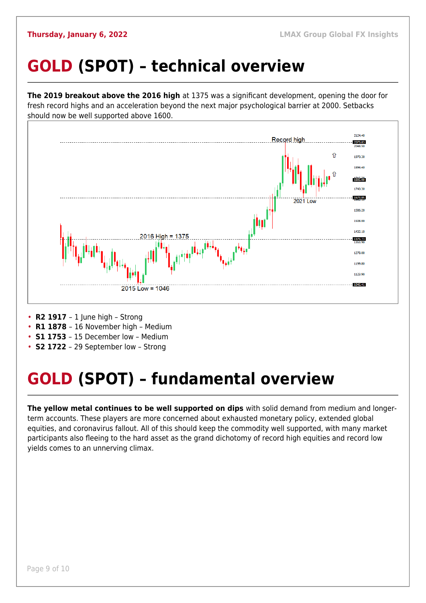## <span id="page-8-0"></span>**GOLD (SPOT) – technical overview**

**The 2019 breakout above the 2016 high** at 1375 was a significant development, opening the door for fresh record highs and an acceleration beyond the next major psychological barrier at 2000. Setbacks should now be well supported above 1600.



- **R2 1917**  1 June high Strong
- **R1 1878**  16 November high Medium
- **S1 1753**  15 December low Medium
- **S2 1722**  29 September low Strong

## <span id="page-8-1"></span>**GOLD (SPOT) – fundamental overview**

**The yellow metal continues to be well supported on dips** with solid demand from medium and longerterm accounts. These players are more concerned about exhausted monetary policy, extended global equities, and coronavirus fallout. All of this should keep the commodity well supported, with many market participants also fleeing to the hard asset as the grand dichotomy of record high equities and record low yields comes to an unnerving climax.